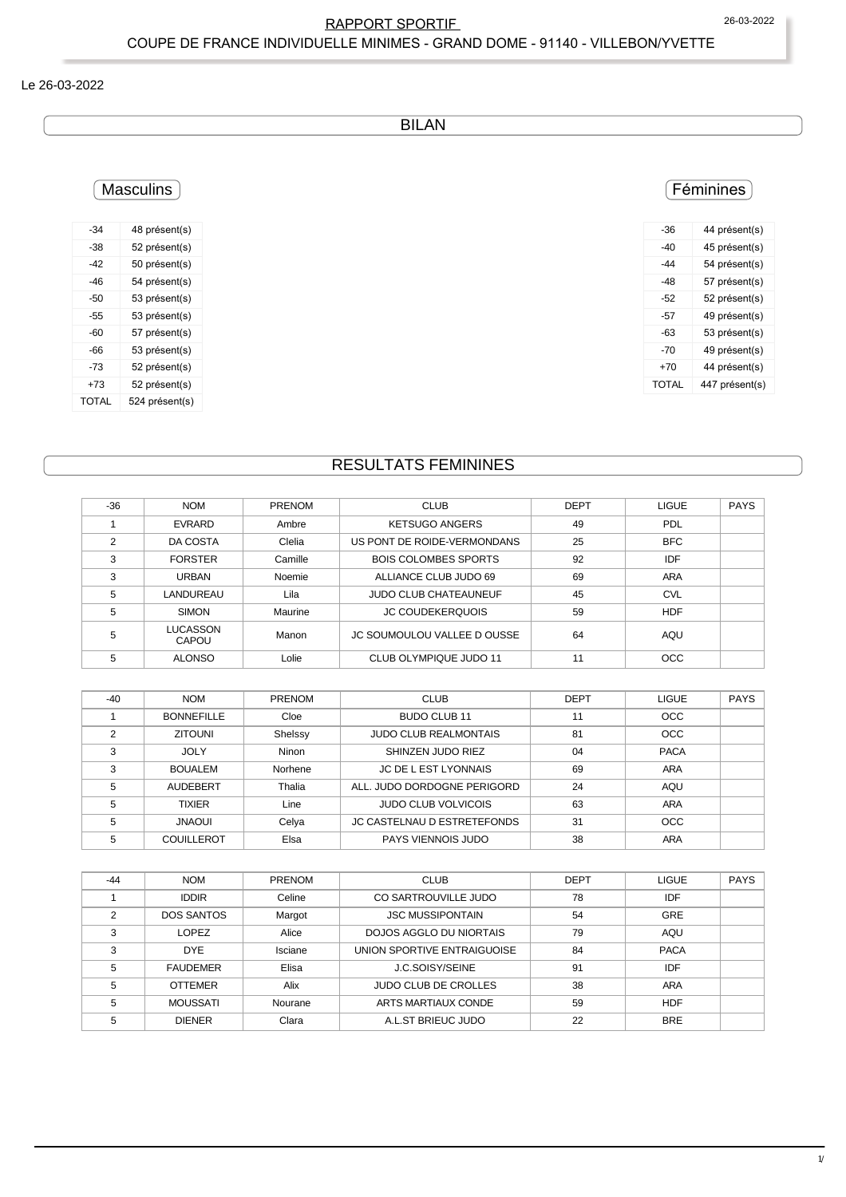#### **RAPPORT SPORTIF** COUPE DE FRANCE INDIVIDUELLE MINIMES - GRAND DOME - 91140 - VILLEBON/YVETTE

#### Le 26-03-2022

**BILAN** 

## **Masculins**

| $-34$        | 48 présent(s)  |
|--------------|----------------|
| -38          | 52 présent(s)  |
| $-42$        | 50 présent(s)  |
| -46          | 54 présent(s)  |
| -50          | 53 présent(s)  |
| -55          | 53 présent(s)  |
| -60          | 57 présent(s)  |
| -66          | 53 présent(s)  |
| -73          | 52 présent(s)  |
| +73          | 52 présent(s)  |
| <b>TOTAL</b> | 524 présent(s) |

## **Féminines**

| -36   | 44 présent(s)  |
|-------|----------------|
| -40   | 45 présent(s)  |
| -44   | 54 présent(s)  |
| -48   | 57 présent(s)  |
| -52   | 52 présent(s)  |
| -57   | 49 présent(s)  |
| -63   | 53 présent(s)  |
| -70   | 49 présent(s)  |
| $+70$ | 44 présent(s)  |
| TOTAL | 447 présent(s) |

## **RESULTATS FEMININES**

| $-36$ | <b>NOM</b>        | <b>PRENOM</b> | <b>CLUB</b>                  | <b>DEPT</b> | <b>LIGUE</b> | <b>PAYS</b> |
|-------|-------------------|---------------|------------------------------|-------------|--------------|-------------|
|       | EVRARD            | Ambre         | <b>KETSUGO ANGERS</b>        | 49          | <b>PDL</b>   |             |
| 2     | DA COSTA          | Clelia        | US PONT DE ROIDE-VERMONDANS  | 25          | <b>BFC</b>   |             |
| 3     | <b>FORSTER</b>    | Camille       | <b>BOIS COLOMBES SPORTS</b>  | 92          | IDF          |             |
| 3     | <b>URBAN</b>      | Noemie        | ALLIANCE CLUB JUDO 69        | 69          | ARA          |             |
| 5     | LANDUREAU         | Lila          | <b>JUDO CLUB CHATEAUNEUF</b> | 45          | <b>CVL</b>   |             |
| 5     | <b>SIMON</b>      | Maurine       | <b>JC COUDEKERQUOIS</b>      | 59          | <b>HDF</b>   |             |
| 5     | LUCASSON<br>CAPOU | Manon         | JC SOUMOULOU VALLEE D OUSSE  | 64          | AQU          |             |
| 5     | <b>ALONSO</b>     | Lolie         | CLUB OLYMPIQUE JUDO 11       | 11          | <b>OCC</b>   |             |

| $-40$ | <b>NOM</b>        | <b>PRENOM</b> | <b>CLUB</b>                        | <b>DEPT</b> | <b>LIGUE</b> | <b>PAYS</b> |
|-------|-------------------|---------------|------------------------------------|-------------|--------------|-------------|
|       | <b>BONNEFILLE</b> | Cloe          | BUDO CLUB 11                       | 11          | OCC          |             |
| ◠     | <b>ZITOUNI</b>    | Shelssy       | <b>JUDO CLUB REALMONTAIS</b>       | 81          | <b>OCC</b>   |             |
| 3     | <b>JOLY</b>       | Ninon         | SHINZEN JUDO RIEZ                  | 04          | <b>PACA</b>  |             |
| 3     | <b>BOUALEM</b>    | Norhene       | <b>JC DE L EST LYONNAIS</b>        | 69          | ARA          |             |
| 5     | AUDEBERT          | Thalia        | ALL. JUDO DORDOGNE PERIGORD        | 24          | AQU          |             |
| 5     | <b>TIXIER</b>     | Line          | <b>JUDO CLUB VOLVICOIS</b>         | 63          | ARA          |             |
| 5     | <b>UOANL</b>      | Celya         | <b>JC CASTELNAU D ESTRETEFONDS</b> | 31          | <b>OCC</b>   |             |
| 5     | <b>COUILLEROT</b> | Elsa          | PAYS VIENNOIS JUDO                 | 38          | <b>ARA</b>   |             |

| $-44$         | <b>NOM</b>        | <b>PRENOM</b> | <b>CLUB</b>                 | DEPT | <b>LIGUE</b> | <b>PAYS</b> |
|---------------|-------------------|---------------|-----------------------------|------|--------------|-------------|
|               | <b>IDDIR</b>      | Celine        | CO SARTROUVILLE JUDO        | 78   | IDF          |             |
| $\mathcal{P}$ | <b>DOS SANTOS</b> | Margot        | <b>JSC MUSSIPONTAIN</b>     | 54   | <b>GRE</b>   |             |
| 3             | <b>LOPEZ</b>      | Alice         | DOJOS AGGLO DU NIORTAIS     | 79   | AQU          |             |
| 3             | <b>DYE</b>        | Isciane       | UNION SPORTIVE ENTRAIGUOISE | 84   | <b>PACA</b>  |             |
| 5             | <b>FAUDEMER</b>   | Elisa         | J.C.SOISY/SEINE             | 91   | IDF          |             |
| 5             | <b>OTTEMER</b>    | Alix          | <b>JUDO CLUB DE CROLLES</b> | 38   | <b>ARA</b>   |             |
| 5             | <b>MOUSSATI</b>   | Nourane       | ARTS MARTIAUX CONDE         | 59   | <b>HDF</b>   |             |
| 5             | <b>DIENER</b>     | Clara         | A.L.ST BRIEUC JUDO          | 22   | <b>BRE</b>   |             |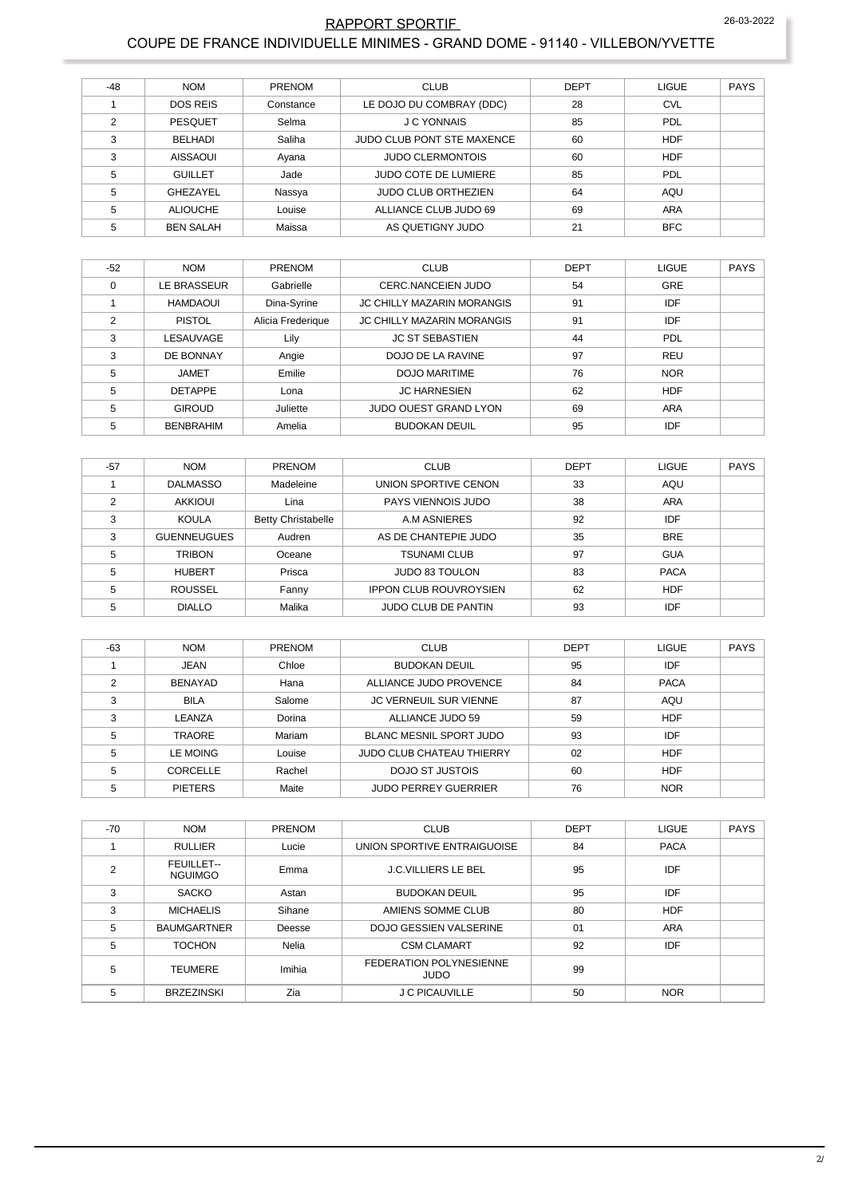#### 26-03-2022

### RAPPORT SPORTIF COUPE DE FRANCE INDIVIDUELLE MINIMES - GRAND DOME - 91140 - VILLEBON/YVETTE

| $-48$ | <b>NOM</b>       | <b>PRENOM</b> | <b>CLUB</b>                 | <b>DEPT</b> | <b>LIGUE</b> | <b>PAYS</b> |
|-------|------------------|---------------|-----------------------------|-------------|--------------|-------------|
|       | <b>DOS REIS</b>  | Constance     | LE DOJO DU COMBRAY (DDC)    | 28          | <b>CVL</b>   |             |
| っ     | <b>PESQUET</b>   | Selma         | <b>J C YONNAIS</b>          | 85          | PDL          |             |
| 3     | <b>BELHADI</b>   | Saliha        | JUDO CLUB PONT STE MAXENCE  | 60          | <b>HDF</b>   |             |
| 3     | <b>AISSAOUI</b>  | Ayana         | <b>JUDO CLERMONTOIS</b>     | 60          | <b>HDF</b>   |             |
| 5     | <b>GUILLET</b>   | Jade          | <b>JUDO COTE DE LUMIERE</b> | 85          | PDL          |             |
| 5     | GHEZAYEL         | Nassya        | <b>JUDO CLUB ORTHEZIEN</b>  | 64          | AQU          |             |
| 5     | <b>ALIOUCHE</b>  | Louise        | ALLIANCE CLUB JUDO 69       | 69          | <b>ARA</b>   |             |
| 5     | <b>BEN SALAH</b> | Maissa        | AS QUETIGNY JUDO            | 21          | <b>BFC</b>   |             |

| $-52$          | <b>NOM</b>       | PRENOM            | <b>CLUB</b>                       | <b>DEPT</b> | <b>LIGUE</b> | <b>PAYS</b> |
|----------------|------------------|-------------------|-----------------------------------|-------------|--------------|-------------|
| $\Omega$       | LE BRASSEUR      | Gabrielle         | CERC NANCEIEN JUDO                | 54          | GRE          |             |
|                | <b>HAMDAOUI</b>  | Dina-Syrine       | JC CHILLY MAZARIN MORANGIS        | 91          | IDF          |             |
| $\overline{2}$ | <b>PISTOL</b>    | Alicia Frederique | <b>JC CHILLY MAZARIN MORANGIS</b> | 91          | IDF          |             |
| 3              | LESAUVAGE        | Lily              | <b>JC ST SEBASTIEN</b>            | 44          | <b>PDL</b>   |             |
| 3              | DE BONNAY        | Angie             | DOJO DE LA RAVINE                 | 97          | <b>REU</b>   |             |
| 5              | <b>JAMET</b>     | Emilie            | <b>DOJO MARITIME</b>              | 76          | <b>NOR</b>   |             |
| 5              | <b>DETAPPE</b>   | Lona              | <b>JC HARNESIEN</b>               | 62          | <b>HDF</b>   |             |
| 5              | <b>GIROUD</b>    | Juliette          | <b>JUDO OUEST GRAND LYON</b>      | 69          | ARA          |             |
| 5              | <b>BENBRAHIM</b> | Amelia            | <b>BUDOKAN DEUIL</b>              | 95          | IDF          |             |

| $-57$ | <b>NOM</b>         | <b>PRENOM</b>             | <b>CLUB</b>                   | <b>DEPT</b> | <b>LIGUE</b> | <b>PAYS</b> |
|-------|--------------------|---------------------------|-------------------------------|-------------|--------------|-------------|
|       | <b>DALMASSO</b>    | Madeleine                 | UNION SPORTIVE CENON          | 33          | AQU          |             |
| ◠     | AKKIOUI            | Lina                      | PAYS VIENNOIS JUDO            | 38          | <b>ARA</b>   |             |
| 3     | <b>KOULA</b>       | <b>Betty Christabelle</b> | A.M ASNIERES                  | 92          | IDF          |             |
| 3     | <b>GUENNEUGUES</b> | Audren                    | AS DE CHANTEPIE JUDO          | 35          | <b>BRE</b>   |             |
| 5     | <b>TRIBON</b>      | Oceane                    | <b>TSUNAMI CLUB</b>           | 97          | <b>GUA</b>   |             |
| 5     | <b>HUBERT</b>      | Prisca                    | <b>JUDO 83 TOULON</b>         | 83          | <b>PACA</b>  |             |
| 5     | <b>ROUSSEL</b>     | Fanny                     | <b>IPPON CLUB ROUVROYSIEN</b> | 62          | <b>HDF</b>   |             |
| 5     | <b>DIALLO</b>      | Malika                    | <b>JUDO CLUB DE PANTIN</b>    | 93          | IDF          |             |

| $-63$ | <b>NOM</b>      | <b>PRENOM</b> | <b>CLUB</b>                      | <b>DEPT</b> | <b>LIGUE</b> | <b>PAYS</b> |
|-------|-----------------|---------------|----------------------------------|-------------|--------------|-------------|
|       | <b>JEAN</b>     | Chloe         | <b>BUDOKAN DEUIL</b>             | 95          | IDF          |             |
| っ     | <b>BENAYAD</b>  | Hana          | ALLIANCE JUDO PROVENCE           | 84          | <b>PACA</b>  |             |
| 3     | <b>BILA</b>     | Salome        | <b>JC VERNEUIL SUR VIENNE</b>    | 87          | AQU          |             |
| 3     | LEANZA          | Dorina        | ALLIANCE JUDO 59                 | 59          | <b>HDF</b>   |             |
| 5     | <b>TRAORE</b>   | Mariam        | <b>BLANC MESNIL SPORT JUDO</b>   | 93          | <b>IDF</b>   |             |
| 5     | <b>LE MOING</b> | Louise        | <b>JUDO CLUB CHATEAU THIERRY</b> | 02          | <b>HDF</b>   |             |
| 5     | CORCELLE        | Rachel        | DOJO ST JUSTOIS                  | 60          | <b>HDF</b>   |             |
| 5     | <b>PIETERS</b>  | Maite         | <b>JUDO PERREY GUERRIER</b>      | 76          | <b>NOR</b>   |             |

| $-70$         | <b>NOM</b>                   | <b>PRENOM</b> | <b>CLUB</b>                                   | <b>DEPT</b> | <b>LIGUE</b> | <b>PAYS</b> |
|---------------|------------------------------|---------------|-----------------------------------------------|-------------|--------------|-------------|
|               | <b>RULLIER</b>               | Lucie         | UNION SPORTIVE ENTRAIGUOISE                   | 84          | <b>PACA</b>  |             |
| $\mathcal{P}$ | FEUILLET--<br><b>NGUIMGO</b> | Emma          | <b>J.C.VILLIERS LE BEL</b>                    | 95          | IDF          |             |
| 3             | <b>SACKO</b>                 | Astan         | <b>BUDOKAN DEUIL</b>                          | 95          | IDF          |             |
| 3             | <b>MICHAELIS</b>             | Sihane        | AMIENS SOMME CLUB                             | 80          | <b>HDF</b>   |             |
| 5             | <b>BAUMGARTNER</b>           | Deesse        | <b>DOJO GESSIEN VALSERINE</b>                 | 01          | <b>ARA</b>   |             |
| 5             | <b>TOCHON</b>                | Nelia         | <b>CSM CLAMART</b>                            | 92          | IDF          |             |
| 5             | <b>TEUMERE</b>               | Imihia        | <b>FEDERATION POLYNESIENNE</b><br><b>JUDO</b> | 99          |              |             |
| 5             | <b>BRZEZINSKI</b>            | Zia           | J C PICAUVILLE                                | 50          | <b>NOR</b>   |             |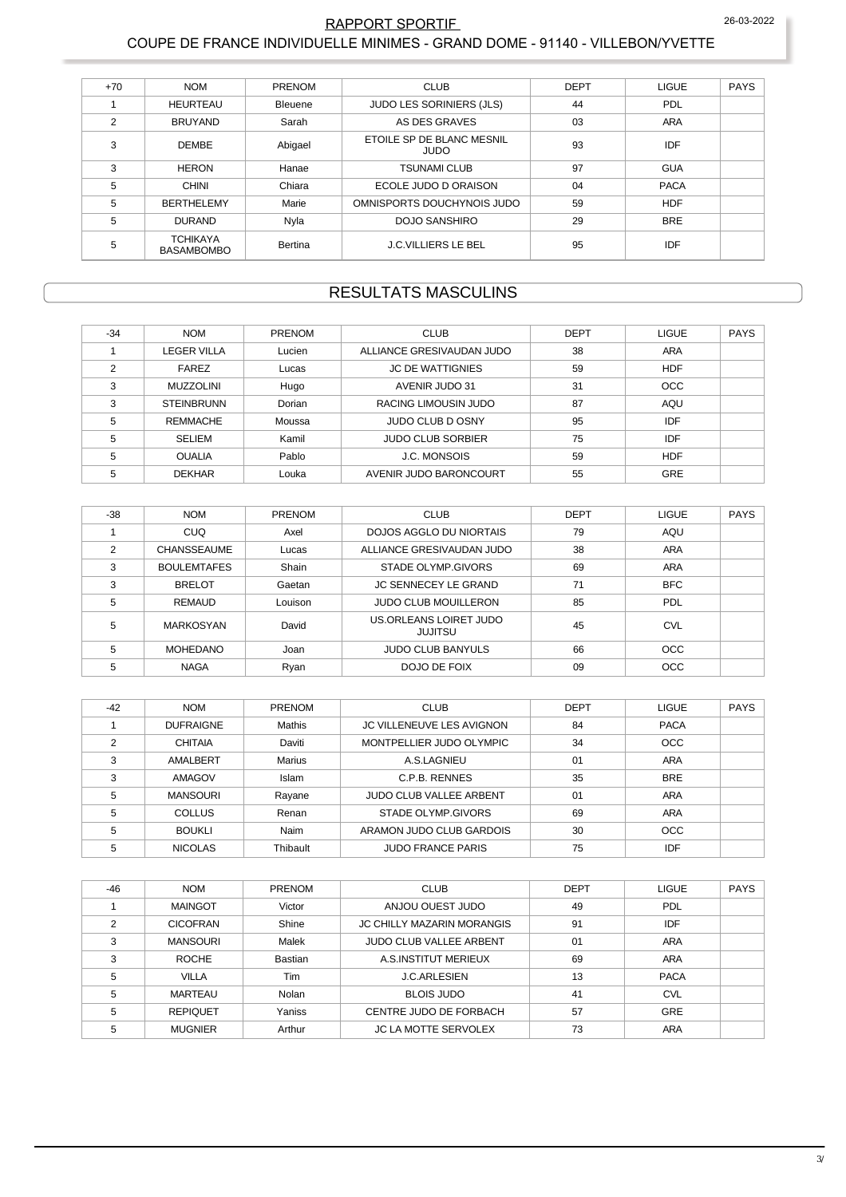#### 26-03-2022 **RAPPORT SPORTIF** COUPE DE FRANCE INDIVIDUELLE MINIMES - GRAND DOME - 91140 - VILLEBON/YVETTE

| $+70$ | <b>NOM</b>                           | <b>PRENOM</b>  | <b>CLUB</b>                              | <b>DEPT</b> | LIGUE       | <b>PAYS</b> |
|-------|--------------------------------------|----------------|------------------------------------------|-------------|-------------|-------------|
|       | <b>HEURTEAU</b>                      | <b>Bleuene</b> | <b>JUDO LES SORINIERS (JLS)</b>          | 44          | <b>PDL</b>  |             |
| 2     | <b>BRUYAND</b>                       | Sarah          | AS DES GRAVES                            | 03          | <b>ARA</b>  |             |
| 3     | <b>DEMBE</b>                         | Abigael        | ETOILE SP DE BLANC MESNIL<br><b>JUDO</b> | 93          | IDF         |             |
| 3     | <b>HERON</b>                         | Hanae          | <b>TSUNAMI CLUB</b>                      | 97          | <b>GUA</b>  |             |
| 5     | <b>CHINI</b>                         | Chiara         | ECOLE JUDO D ORAISON                     | 04          | <b>PACA</b> |             |
| 5     | <b>BERTHELEMY</b>                    | Marie          | OMNISPORTS DOUCHYNOIS JUDO               | 59          | <b>HDF</b>  |             |
| 5     | <b>DURAND</b>                        | Nyla           | <b>DOJO SANSHIRO</b>                     | 29          | <b>BRE</b>  |             |
| 5     | <b>TCHIKAYA</b><br><b>BASAMBOMBO</b> | Bertina        | <b>J.C.VILLIERS LE BEL</b>               | 95          | IDF         |             |

# **RESULTATS MASCULINS**

| $-34$ | <b>NOM</b>        | <b>PRENOM</b> | <b>CLUB</b>               | <b>DEPT</b> | <b>LIGUE</b> | <b>PAYS</b> |
|-------|-------------------|---------------|---------------------------|-------------|--------------|-------------|
|       | LEGER VILLA       | Lucien        | ALLIANCE GRESIVAUDAN JUDO | 38          | ARA          |             |
|       | FAREZ             | Lucas         | <b>JC DE WATTIGNIES</b>   | 59          | <b>HDF</b>   |             |
| 3     | <b>MUZZOLINI</b>  | Hugo          | AVENIR JUDO 31            | 31          | <b>OCC</b>   |             |
| 3     | <b>STEINBRUNN</b> | Dorian        | RACING LIMOUSIN JUDO      | 87          | AQU          |             |
| 5     | <b>REMMACHE</b>   | Moussa        | JUDO CLUB D OSNY          | 95          | IDF          |             |
| 5     | <b>SELIEM</b>     | Kamil         | <b>JUDO CLUB SORBIER</b>  | 75          | IDF          |             |
| 5     | <b>OUALIA</b>     | Pablo         | <b>J.C. MONSOIS</b>       | 59          | <b>HDF</b>   |             |
| 5     | <b>DEKHAR</b>     | Louka         | AVENIR JUDO BARONCOURT    | 55          | <b>GRE</b>   |             |

| $-38$ | <b>NOM</b>         | PRENOM  | <b>CLUB</b>                              | <b>DEPT</b> | LIGUE      | <b>PAYS</b> |
|-------|--------------------|---------|------------------------------------------|-------------|------------|-------------|
|       | <b>CUQ</b>         | Axel    | DOJOS AGGLO DU NIORTAIS                  | 79          | AQU        |             |
| 2     | <b>CHANSSEAUME</b> | Lucas   | ALLIANCE GRESIVAUDAN JUDO                | 38          | <b>ARA</b> |             |
| 3     | <b>BOULEMTAFES</b> | Shain   | STADE OLYMP GIVORS                       | 69          | ARA        |             |
| 3     | <b>BRELOT</b>      | Gaetan  | <b>JC SENNECEY LE GRAND</b>              | 71          | <b>BFC</b> |             |
| 5     | <b>REMAUD</b>      | Louison | <b>JUDO CLUB MOUILLERON</b>              | 85          | PDL        |             |
| 5     | MARKOSYAN          | David   | US.ORLEANS LOIRET JUDO<br><b>JUJITSU</b> | 45          | <b>CVL</b> |             |
| 5     | <b>MOHEDANO</b>    | Joan    | <b>JUDO CLUB BANYULS</b>                 | 66          | OCC        |             |
| 5     | <b>NAGA</b>        | Ryan    | DOJO DE FOIX                             | 09          | <b>OCC</b> |             |

| $-42$ | <b>NOM</b>       | PRENOM   | <b>CLUB</b>                      | <b>DEPT</b> | <b>LIGUE</b> | <b>PAYS</b> |
|-------|------------------|----------|----------------------------------|-------------|--------------|-------------|
|       | <b>DUFRAIGNE</b> | Mathis   | <b>JC VILLENEUVE LES AVIGNON</b> | 84          | <b>PACA</b>  |             |
|       | <b>CHITAIA</b>   | Daviti   | MONTPELLIER JUDO OLYMPIC         | 34          | <b>OCC</b>   |             |
| 3     | AMALBERT         | Marius   | A.S.LAGNIEU                      | 01          | <b>ARA</b>   |             |
| 3     | AMAGOV           | Islam    | C.P.B. RENNES                    | 35          | <b>BRE</b>   |             |
| 5     | MANSOURI         | Rayane   | <b>JUDO CLUB VALLEE ARBENT</b>   | 01          | ARA          |             |
| 5     | <b>COLLUS</b>    | Renan    | STADE OLYMP.GIVORS               | 69          | ARA          |             |
| 5     | <b>BOUKLI</b>    | Naim     | ARAMON JUDO CLUB GARDOIS         | 30          | <b>OCC</b>   |             |
| 5     | <b>NICOLAS</b>   | Thibault | <b>JUDO FRANCE PARIS</b>         | 75          | IDF          |             |

| $-46$ | <b>NOM</b>      | <b>PRENOM</b> | <b>CLUB</b>                    | <b>DEPT</b> | <b>LIGUE</b> | PAYS |
|-------|-----------------|---------------|--------------------------------|-------------|--------------|------|
|       | <b>MAINGOT</b>  | Victor        | ANJOU OUEST JUDO               | 49          | PDL          |      |
| ◠     | <b>CICOFRAN</b> | Shine         | JC CHILLY MAZARIN MORANGIS     | 91          | <b>IDF</b>   |      |
| 3     | <b>MANSOURI</b> | Malek         | <b>JUDO CLUB VALLEE ARBENT</b> | 01          | <b>ARA</b>   |      |
| 3     | <b>ROCHE</b>    | Bastian       | A.S.INSTITUT MERIEUX           | 69          | ARA          |      |
| 5     | <b>VILLA</b>    | Tim           | <b>J.C.ARLESIEN</b>            | 13          | <b>PACA</b>  |      |
| 5     | MARTEAU         | Nolan         | <b>BLOIS JUDO</b>              | 41          | <b>CVL</b>   |      |
| 5     | <b>REPIQUET</b> | Yaniss        | CENTRE JUDO DE FORBACH         | 57          | GRE          |      |
| 5     | <b>MUGNIER</b>  | Arthur        | <b>JC LA MOTTE SERVOLEX</b>    | 73          | <b>ARA</b>   |      |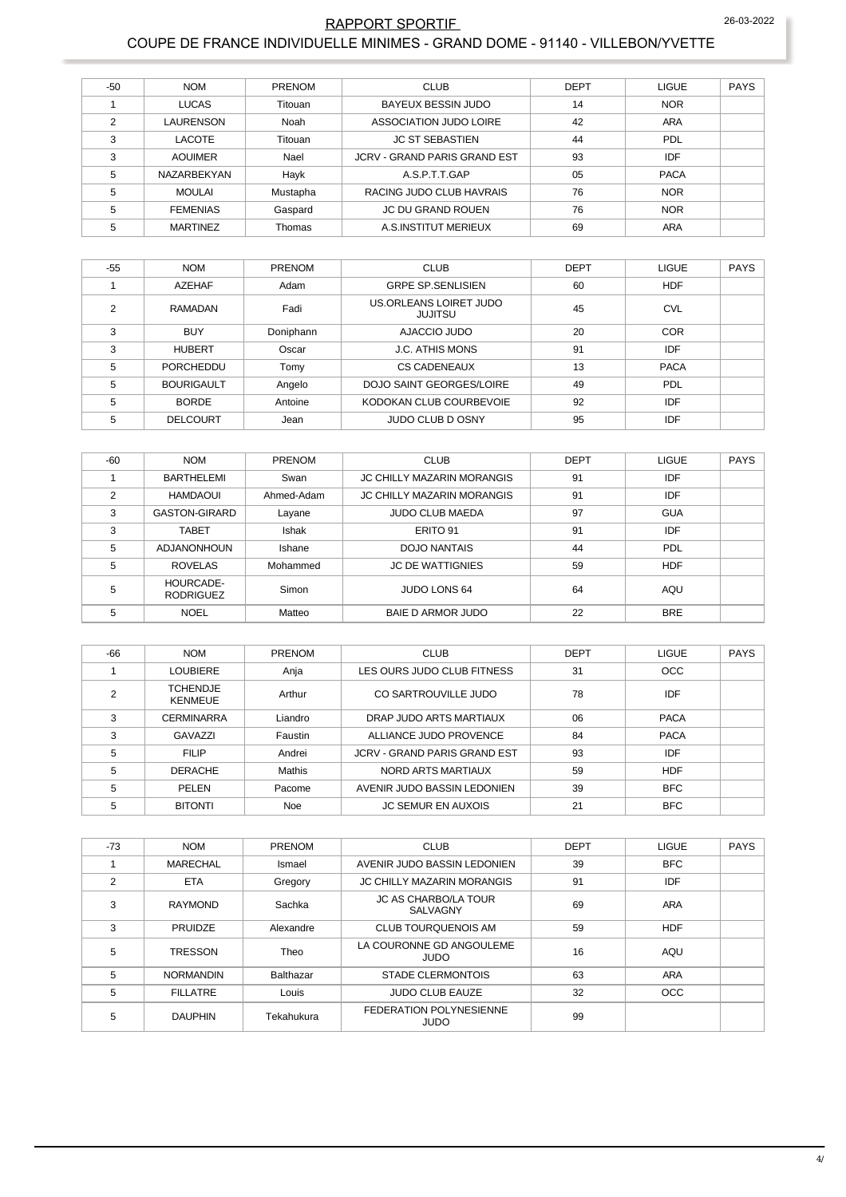## RAPPORT SPORTIF 26-03-2022 COUPE DE FRANCE INDIVIDUELLE MINIMES - GRAND DOME - 91140 - VILLEBON/YVETTE

| $-50$ | <b>NOM</b>      | <b>PRENOM</b> | <b>CLUB</b>                         | <b>DEPT</b> | <b>LIGUE</b> | <b>PAYS</b> |
|-------|-----------------|---------------|-------------------------------------|-------------|--------------|-------------|
|       | <b>LUCAS</b>    | Titouan       | <b>BAYEUX BESSIN JUDO</b>           | 14          | <b>NOR</b>   |             |
| 2     | LAURENSON       | Noah          | ASSOCIATION JUDO LOIRE              | 42          | <b>ARA</b>   |             |
| 3     | LACOTE          | Titouan       | <b>JC ST SEBASTIEN</b>              | 44          | PDL          |             |
| 3     | <b>AOUIMER</b>  | Nael          | <b>JCRV - GRAND PARIS GRAND EST</b> | 93          | <b>IDF</b>   |             |
| 5     | NAZARBEKYAN     | Hayk          | A.S.P.T.T.GAP                       | 05          | <b>PACA</b>  |             |
| 5     | <b>MOULAI</b>   | Mustapha      | RACING JUDO CLUB HAVRAIS            | 76          | <b>NOR</b>   |             |
| 5     | <b>FEMENIAS</b> | Gaspard       | <b>JC DU GRAND ROUEN</b>            | 76          | <b>NOR</b>   |             |
| 5     | <b>MARTINEZ</b> | Thomas        | A.S.INSTITUT MERIEUX                | 69          | <b>ARA</b>   |             |

| $-55$ | <b>NOM</b>        | <b>PRENOM</b> | <b>CLUB</b>                              | <b>DEPT</b> | <b>LIGUE</b> | <b>PAYS</b> |
|-------|-------------------|---------------|------------------------------------------|-------------|--------------|-------------|
|       | <b>AZEHAF</b>     | Adam          | <b>GRPE SP SENLISIEN</b>                 | 60          | <b>HDF</b>   |             |
| 2     | RAMADAN           | Fadi          | US.ORLEANS LOIRET JUDO<br><b>JUJITSU</b> | 45          | <b>CVL</b>   |             |
| 3     | <b>BUY</b>        | Doniphann     | AJACCIO JUDO                             | 20          | <b>COR</b>   |             |
| 3     | <b>HUBERT</b>     | Oscar         | <b>J.C. ATHIS MONS</b>                   | 91          | <b>IDF</b>   |             |
| 5     | PORCHEDDU         | Tomy          | CS CADENEAUX                             | 13          | <b>PACA</b>  |             |
| 5     | <b>BOURIGAULT</b> | Angelo        | <b>DOJO SAINT GEORGES/LOIRE</b>          | 49          | PDL          |             |
| 5     | <b>BORDE</b>      | Antoine       | KODOKAN CLUB COURBEVOIE                  | 92          | IDF          |             |
| 5     | <b>DELCOURT</b>   | Jean          | <b>JUDO CLUB D OSNY</b>                  | 95          | IDF          |             |

| $-60$         | <b>NOM</b>                    | PRENOM     | <b>CLUB</b>                       | <b>DEPT</b> | <b>LIGUE</b> | <b>PAYS</b> |
|---------------|-------------------------------|------------|-----------------------------------|-------------|--------------|-------------|
|               | <b>BARTHELEMI</b>             | Swan       | <b>JC CHILLY MAZARIN MORANGIS</b> | 91          | IDF          |             |
| $\mathcal{P}$ | <b>HAMDAOUI</b>               | Ahmed-Adam | <b>JC CHILLY MAZARIN MORANGIS</b> | 91          | IDF          |             |
| 3             | GASTON-GIRARD                 | Layane     | JUDO CLUB MAEDA                   | 97          | <b>GUA</b>   |             |
| 3             | <b>TABET</b>                  | Ishak      | ERITO 91                          | 91          | IDF          |             |
| 5             | <b>ADJANONHOUN</b>            | Ishane     | <b>DOJO NANTAIS</b>               | 44          | <b>PDL</b>   |             |
| 5             | <b>ROVELAS</b>                | Mohammed   | <b>JC DE WATTIGNIES</b>           | 59          | <b>HDF</b>   |             |
| 5             | HOURCADE-<br><b>RODRIGUEZ</b> | Simon      | JUDO LONS 64                      | 64          | AQU          |             |
| 5             | <b>NOEL</b>                   | Matteo     | BAIE D ARMOR JUDO                 | 22          | <b>BRE</b>   |             |

| $-66$ | <b>NOM</b>                        | PRENOM     | <b>CLUB</b>                         | <b>DEPT</b> | LIGUE       | <b>PAYS</b> |
|-------|-----------------------------------|------------|-------------------------------------|-------------|-------------|-------------|
|       | LOUBIERE                          | Anja       | LES OURS JUDO CLUB FITNESS          | 31          | <b>OCC</b>  |             |
| C     | <b>TCHENDJE</b><br><b>KENMEUE</b> | Arthur     | CO SARTROUVILLE JUDO                | 78          | <b>IDF</b>  |             |
| 3     | <b>CERMINARRA</b>                 | Liandro    | DRAP JUDO ARTS MARTIAUX             | 06          | <b>PACA</b> |             |
| 3     | GAVAZZI                           | Faustin    | ALLIANCE JUDO PROVENCE              | 84          | <b>PACA</b> |             |
| 5     | <b>FILIP</b>                      | Andrei     | <b>JCRV - GRAND PARIS GRAND EST</b> | 93          | IDF         |             |
| 5     | <b>DERACHE</b>                    | Mathis     | NORD ARTS MARTIAUX                  | 59          | <b>HDF</b>  |             |
| 5     | PELEN                             | Pacome     | AVENIR JUDO BASSIN LEDONIEN         | 39          | <b>BFC</b>  |             |
| 5     | <b>BITONTI</b>                    | <b>Noe</b> | <b>JC SEMUR EN AUXOIS</b>           | 21          | <b>BFC</b>  |             |

| $-73$          | <b>NOM</b>       | PRENOM     | <b>CLUB</b>                             | <b>DEPT</b> | <b>LIGUE</b> | <b>PAYS</b> |
|----------------|------------------|------------|-----------------------------------------|-------------|--------------|-------------|
|                | <b>MARECHAL</b>  | Ismael     | AVENIR JUDO BASSIN LEDONIEN             | 39          | <b>BFC</b>   |             |
| $\overline{2}$ | <b>ETA</b>       | Gregory    | <b>JC CHILLY MAZARIN MORANGIS</b>       | 91          | IDF          |             |
| 3              | <b>RAYMOND</b>   | Sachka     | <b>JC AS CHARBO/LA TOUR</b><br>SALVAGNY | 69          | ARA          |             |
| 3              | PRUIDZE          | Alexandre  | <b>CLUB TOURQUENOIS AM</b>              | 59          | <b>HDF</b>   |             |
| 5              | <b>TRESSON</b>   | Theo       | LA COURONNE GD ANGOULEME<br>JUDO        | 16          | AQU          |             |
| 5              | <b>NORMANDIN</b> | Balthazar  | STADE CLERMONTOIS                       | 63          | <b>ARA</b>   |             |
| 5              | <b>FILLATRE</b>  | Louis      | <b>JUDO CLUB EAUZE</b>                  | 32          | <b>OCC</b>   |             |
| 5              | <b>DAUPHIN</b>   | Tekahukura | FEDERATION POLYNESIENNE<br><b>JUDO</b>  | 99          |              |             |